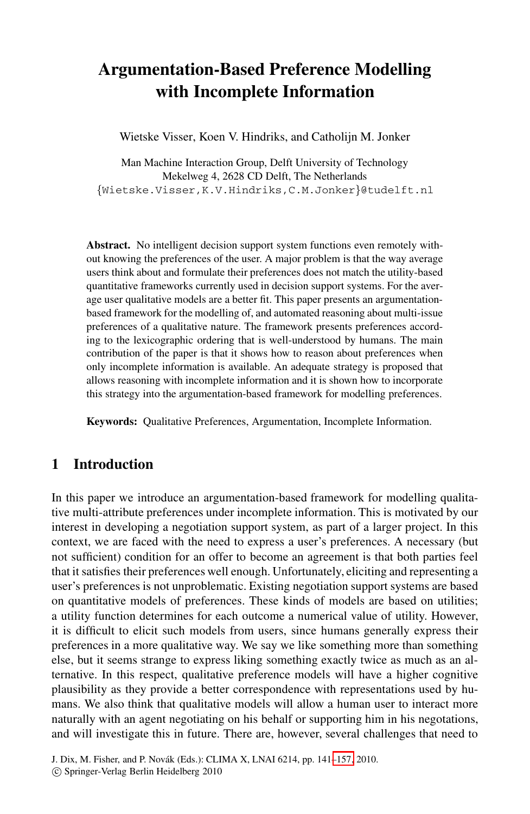# **Argumentation-Based Preference Modelling with Incomplete Information**

Wietske Visser, Koen V. Hindriks, and Catholijn M. Jonker

Man Machine Interaction Group, Delft University of Technology Mekelweg 4, 2628 CD Delft, The Netherlands *{*Wietske.Visser,K.V.Hindriks,C.M.Jonker*}*@tudelft.nl

**Abstract.** No intelligent decision support system functions even remotely without knowing the preferences of the user. A major problem is that the way average users think about and formulate their preferences does not match the utility-based quantitative frameworks currently used in decision support systems. For the average user qualitative models are a better fit. This paper presents an argumentationbased framework for the modelling of, and automated reasoning about multi-issue preferences of a qualitative nature. The framework presents preferences according to the lexicographic ordering that is well-understood by humans. The main contribution of the paper is that it shows how to reason about preferences when only incomplete information is available. An adequate strategy is proposed that allows reasoning with incomplete information and it is shown how to incorporate this strategy into the argumentation-based framework for modelling preferences.

**Keywords:** Qualitative Preferences, Argumentation, Incomplete Information.

# **1 Introduction**

In this paper we introduce an argumentation-based framework for modelling qualitative multi-attribute preferences under incomplete information. This is motivated by our interest in developing a negotiation support system, as part of a larger project. In this context, we are faced with the need to express a user's preferences. A necessary (but not sufficient) condition for an offer to become an agreement is that both parties feel that it satisfies their preferences well enough. Unfortunately, eliciting and representing a user's preferences is not unproblematic. Existing negotiation support systems are based on quantitative models of preferences. These kinds of models are based on utilities; a utility function determines for each outcome a numerical value of utility. However, it is difficult to elicit such models from users, since humans generally express their preferences in a more qualitative wa[y. We](#page-16-0) say we like something more than something else, but it seems strange to express liking something exactly twice as much as an alternative. In this respect, qualitative preference models will have a higher cognitive plausibility as they provide a better correspondence with representations used by humans. We also think that qualitative models will allow a human user to interact more naturally with an agent negotiating on his behalf or supporting him in his negotations, and will investigate this in future. There are, however, several challenges that need to

J. Dix, M. Fisher, and P. Novák (Eds.): CLIMA X, LNAI 6214, pp. 141–157, 2010.

<sup>-</sup>c Springer-Verlag Berlin Heidelberg 2010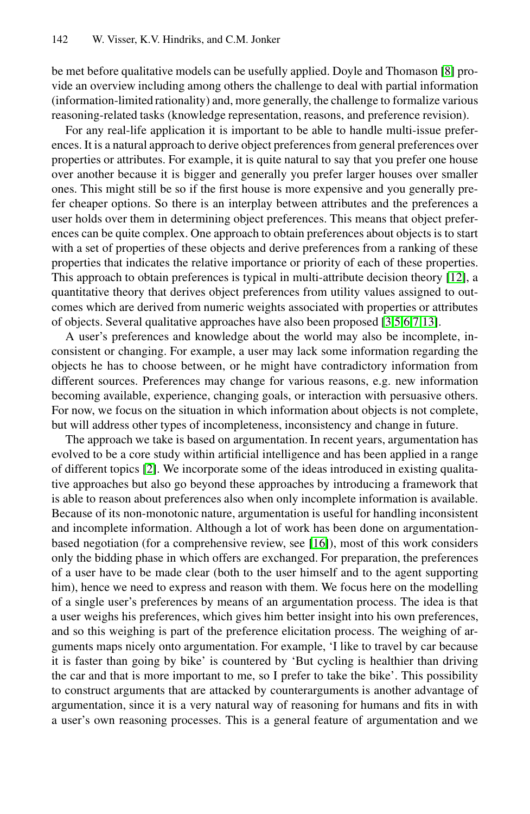be met before qualitative models can be usefully applied. Doyle and Thomason [8] provide an overview including among others the challenge to deal with partial information (information-limited rationality) and, more generally, the challenge to formalize various reasoning-related tasks (knowledge representation, reasons, and preference revision).

For any real-life application it is important to be able to handle multi-issue preferences. It is a natural approach to derive object preferences from general preferences over properties or attributes. For example, it is quite natural to sa[y th](#page-16-1)at you prefer one house over another because it is bigger and generally you prefer larger houses over smaller ones. This might still be so if the first house is more expensive and you generally prefer cheaper options. So there is an interplay [bet](#page-16-2)[w](#page-16-3)[ee](#page-16-4)[n](#page-16-5) [att](#page-16-6)ributes and the preferences a user holds over them in determining object preferences. This means that object preferences can be quite complex. One approach to obtain preferences about objects is to start with a set of properties of these objects and derive preferences from a ranking of these properties that indicates the relative importance or priority of each of these properties. This approach to obtain preferences is typical in multi-attribute decision theory [12], a quantitative theory that derives object preferences from utility values assigned to outcomes which are derived from numeric weights associated with properties or attributes of objects. Several qualitative approaches have also been proposed [3,5,6,7,13].

A user's preferences and knowledge about the world may also be incomplete, in[c](#page-16-7)onsistent or changing. For example, a user may lack some information regarding the objects he has to choose between, or he might have contradictory information from different sources. Preferences may change for various reasons, e.g. new information becoming available, experience, changing goals, or interaction with persuasive others. For now, we focus on the situation in which information about objects is not complete, but will address other types of i[ncom](#page-16-8)pleteness, inconsistency and change in future.

The approach we take is based on argumentation. In recent years, argumentation has evolved to be a core study within artificial intelligence and has been applied in a range of different topics [2]. We incorporate some of the ideas introduced in existing qualitative approaches but also go beyond these approaches by introducing a framework that is able to reason about preferences also when only incomplete information is available. Because of its non-monotonic nature, argumentation is useful for handling inconsistent and incomplete information. Although a lot of work has been done on argumentationbased negotiation (for a comprehensive review, see [16]), most of this work considers only the bidding phase in which offers are exchanged. For preparation, the preferences of a user have to be made clear (both to the user himself and to the agent supporting him), hence we need to express and reason with them. We focus here on the modelling of a single user's preferences by means of an argumentation process. The idea is that a user weighs his preferences, which gives him better insight into his own preferences, and so this weighing is part of the preference elicitation process. The weighing of arguments maps nicely onto argumentation. For example, 'I like to travel by car because it is faster than going by bike' is countered by 'But cycling is healthier than driving the car and that is more important to me, so I prefer to take the bike'. This possibility to construct arguments that are attacked by counterarguments is another advantage of argumentation, since it is a very natural way of reasoning for humans and fits in with a user's own reasoning processes. This is a general feature of argumentation and we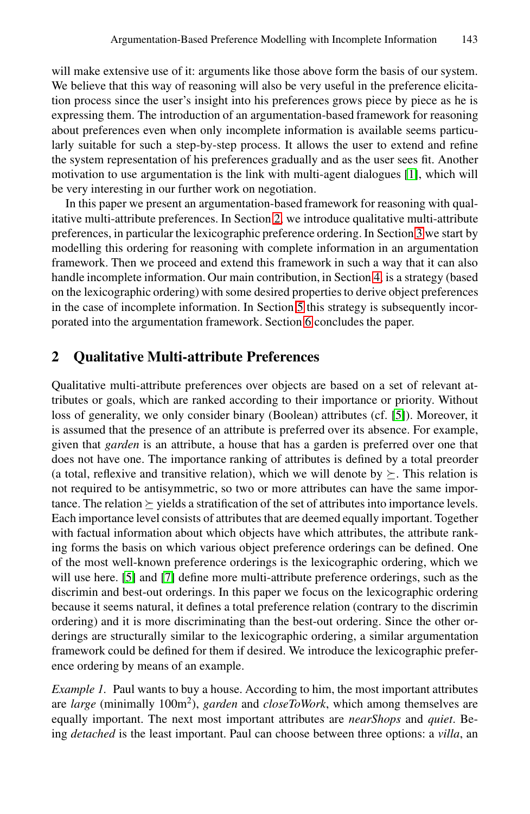will make extensive use of it: arguments like those [ab](#page-16-9)ove form the basis of our system. We believe that this way of reasoning will also be very useful in the preference elicitation process since the u[ser](#page-2-0)'s insight into his preferences grows piece by piece as he is expressing them. The introduction of an argumentati[on-](#page-3-0)based framework for reasoning about preferences even when only incomplete information is available seems particularly suitable for such a step-by-step process. It allows the user to extend and refine the system representation of his preferences [gr](#page-9-0)adually and as the user sees fit. Another motivation to use argumentation is the link with multi-agent dialogues [1], which will be very interesting in our fur[the](#page-12-0)r work on negotiation.

<span id="page-2-0"></span>In this paper we present an [arg](#page-15-0)umentation-based framework for reasoning with qualitative multi-attribute preferences. In Section 2, we introduce qualitative multi-attribute preferences, in particular the lexicographic preference ordering. In Section 3 we start by modelling this ordering for reasoning with complete information in an argumentation framework. Then we proceed and extend this framework in such a way that it can also handle incomplete information. Our main contribution, in Section 4, is a strategy (based on the lexicographic ordering) with some desired properties to derive object preferences in the case of incomplete information. In Sectio[n](#page-16-3) [5](#page-16-3) this strategy is subsequently incorporated into the argumentation framework. Section 6 concludes the paper.

### **2 Qualitative Multi-attribute Preferences**

Qualitative multi-attribute preferences over objects are based on a set of relevant attributes or goals, which are ranked according to their importance or priority. Without loss of generality, we only consider binary (Boolean) attributes (cf. [5]). Moreover, it is assumed that the presence of an attribute is preferred over its absence. For example, given that *garden* is an attribute, a house that has a garden is preferred over one that d[oes](#page-16-5) not have one. The importance ranking of attributes is defined by a total preorder (a total, reflexive and transitive relation), which we will denote by  $\succeq$ . This relation is not required to be antisymmetric, so two or more attributes can have the same importance. The relation  $\succeq$  yields a stratification of the set of attributes into importance levels. Each importance level consists of attributes that are deemed equally important. Together with factual information about which objects have which attributes, the attribute ranking forms the basis on which various object preference orderings can be defined. One of the most well-known preference orderings is the lexicographic ordering, which we will use here. [5] and [7] define more multi-attribute preference orderings, such as the discrimin and best-out orderings. In this paper we focus on the lexicographic ordering because it seems natural, it defines a total preference relation (contrary to the discrimin ordering) and it is more discriminating than the best-out ordering. Since the other orderings are structurally similar to the lexicographic ordering, a similar argumentation framework could be defined for them if desired. We introduce the lexicographic preference ordering by means of an example.

<span id="page-2-1"></span>*Example 1.* Paul wants to buy a house. According to him, the most important attributes are *large* (minimally 100m2), *garden* and *closeToWork*, which among themselves are equally important. The next most important attributes are *nearShops* and *quiet*. Being *detached* is the least important. Paul can choose between three options: a *villa*, an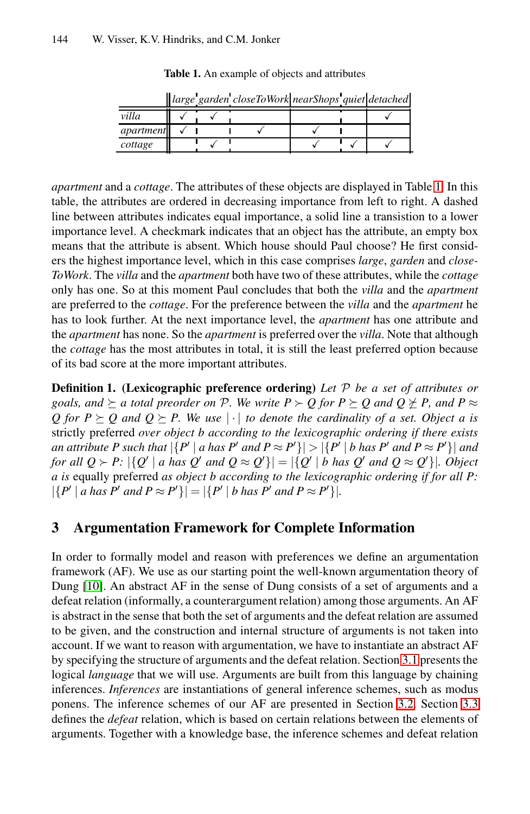<span id="page-3-1"></span>**Table 1.** An example of objects and a[ttri](#page-3-1)butes

|                  |  | large 'garden' closeToWork   near Shops' quiet detached |  |  |
|------------------|--|---------------------------------------------------------|--|--|
| villa            |  |                                                         |  |  |
| <i>apartment</i> |  |                                                         |  |  |
| cottage          |  |                                                         |  |  |

*apartment* and a *cottage*. The attributes of these objects are displayed in Table 1. In this table, the attributes are ordered in decreasing importance from left to right. A dashed line between attributes indicates equal importance, a solid line a transistion to a lower importance level. A checkmark indicates that an object has the attribute, an empty box means that the attribute is absent. Which house should Paul choose? He first considers the highest importance level, which in this case comprises *large*, *garden* and *close-ToWork*. The *villa* and the *apartment* both have two of these attributes, while the *cottage* only has one. So at this moment Paul concludes that both the *villa* and the *apartment* are preferred to the *cottage*. For the preference between the *villa* and the *apartment* he has to look further. At the next importance level, the *apartment* has one attribute and the *apartment* has none. So the *apartment* is preferred over the *villa*. Note that although the *cottage* has the most attributes in total, it is still the least preferred option because of its bad score at the more important attributes.

<span id="page-3-0"></span>**Definition 1. (Lexicographic preference ordering)** *Let* P *be a set of attributes or* goals, and  $\succeq$  a total preorder on P. We write  $P \succ Q$  for  $P \succeq Q$  and  $Q \not\ucceq P$ , and  $P \approx$ Q for  $P \succeq Q$  and  $Q \succeq P$ . We use  $|\cdot|$  to denote the cardinality of a set. Object a is strictly preferred *over object b according to the lexicographic ordering if there exists an attribute P such that*  $|\{P' \mid a \text{ has } P' \text{ and } P \approx P'\}| > |\{P' \mid b \text{ has } P' \text{ and } P \approx P'\}|$  and *for all*  $Q \succ P$ :  $|\{Q' \mid a \text{ has } Q' \text{ and } Q \approx Q'\}| = |\{Q' \mid b \text{ has } Q' \text{ and } Q \approx Q'\}|$ . Object *a is* equally preferred *as object b according to the lexicographic ordering if for all P:*  $|\{P' | a has P' and P \approx P'\}| = |\{P' | b has P' and P \approx P'\}|.$ 

## **3 Argumentation Framework for Complete Information**

In order to formally model and reason with pref[eren](#page-4-0)ces we define an argumentation framework (AF). We use as our starting point the well-known argumentation theory of Dung [10]. An abstract AF in the sense of Dung [con](#page-5-0)sists of [a set](#page-7-0) of arguments and a defeat relation (informally, a counterargument relation) among those arguments. An AF is abstract in the sense that both the set of arguments and the defeat relation are assumed to be given, and the construction and internal structure of arguments is not taken into account. If we want to reason with argumentation, we have to instantiate an abstract AF by specifying the structure of arguments and the defeat relation. Section 3.1 presents the logical *language* that we will use. Arguments are built from this language by chaining inferences. *Inferences* are instantiations of general inference schemes, such as modus ponens. The inference schemes of our AF are presented in Section 3.2. Section 3.3 defines the *defeat* relation, which is based on certain relations between the elements of arguments. Together with a knowledge base, the inference schemes and defeat relation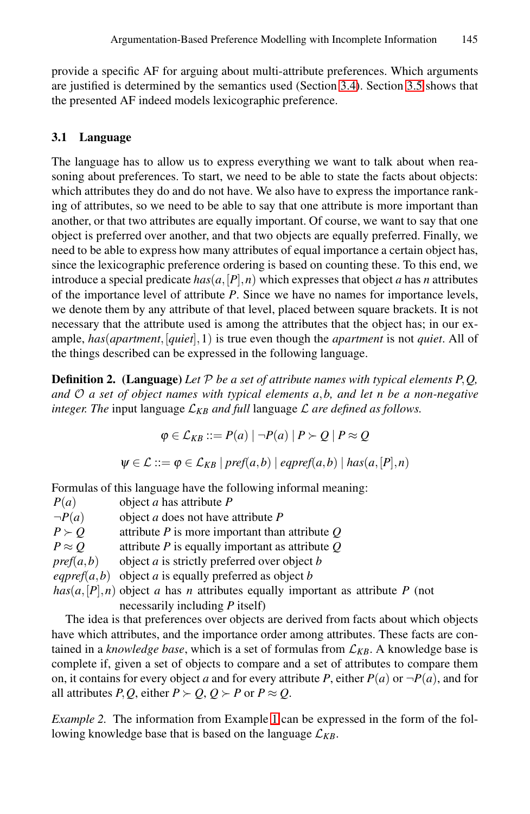<span id="page-4-0"></span>provide a specific AF for arguing about multi-attribute preferences. Which arguments are justified is determined by the semantics used (Section 3.4). Section 3.5 shows that the presented AF indeed models lexicographic preference.

### **3.1 Language**

The language has to allow us to express everything we want to talk about when reasoning about preferences. To start, we need to be able to state the facts about objects: which attributes they do and do not have. We also have to express the importance ranking of attributes, so we need to be able to say that one attribute is more important than another, or that two attributes are equally important. Of course, we want to say that one object is preferred over another, and that two objects are equally preferred. Finally, we need to be able to express how many attributes of equal importance a certain object has, since the lexicographic preference ordering is based on counting these. To this end, we introduce a special predicate  $has(a, [P], n)$  which expresses that object *a* has *n* attributes of the importance level of attribute *P*. Since we have no names for importance levels, we denote them by any attribute of that level, placed between square brackets. It is not necessary that the attribute used is among the attributes that the object has; in our example, *has*(*apartment,*[*quiet*]*,*1) is true even though the *apartment* is not *quiet*. All of the things described can be expressed in the following language.

**Definition 2. (Language)** *Let* P *be a set of attribute names with typical elements P,Q, and* O *a set of object names with typical elements a,b, and let n be a non-negative integer. The input language*  $\mathcal{L}_{KB}$  *and full language*  $\mathcal{L}$  *are defined as follows.* 

$$
\varphi \in \mathcal{L}_{KB} ::= P(a) | \neg P(a) | P \succ Q | P \approx Q
$$

$$
\psi \in \mathcal{L} ::= \varphi \in \mathcal{L}_{KB} | prefix(a, b) | eapref(a, b) | has(a, [P], n)
$$

Formulas of this language have the following informal meaning:

 $\neg P(a)$  object *a* does not have attribute *P* 

 $P \succ Q$  attribute *P* is more important than attribute *Q* 

 $P \approx Q$  attribute *P* is equally important as attribute *Q* 

 $pref(a,b)$  object *a* is strictly preferred over object *b* 

<span id="page-4-1"></span>*eqpref* $(a, b)$  object *a* is equally preferred as object *b* 

 $has(a, [P], n)$  object *a* has *n* attributes equally important as attribute *P* (not necessaril[y](#page-2-1) including *P* itself)

The idea is that preferences over objects are derived from facts about which objects have which attributes, and the importance order among attributes. These facts are contained in a *knowledge base*, which is a set of formulas from  $\mathcal{L}_{KB}$ . A knowledge base is complete if, given a set of objects to compare and a set of attributes to compare them on, it contains for every object *a* and for every attribute *P*, either  $P(a)$  or  $\neg P(a)$ , and for all attributes *P*, *Q*, either  $P \succ Q$ ,  $Q \succ P$  or  $P \approx Q$ .

*Example 2.* The information from Example 1 can be expressed in the form of the following knowledge base that is based on the language  $\mathcal{L}_{KB}$ .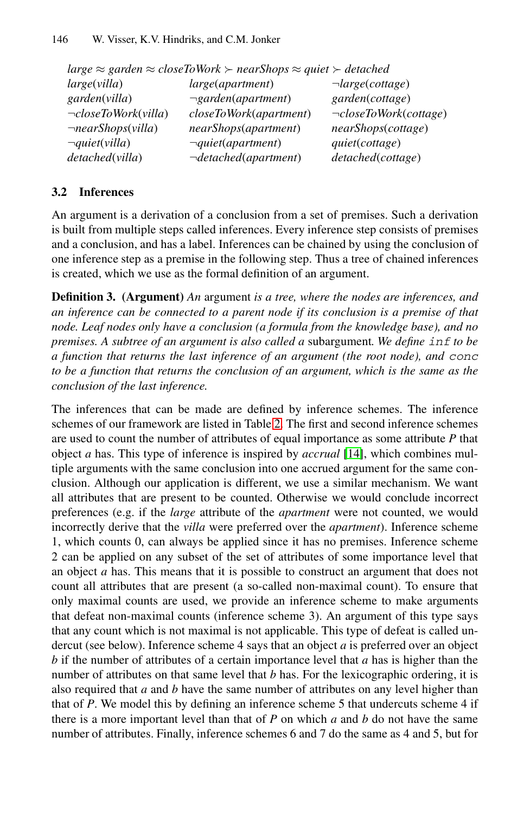```
large ≈ garden ≈ closeToWork \succ nearShops ≈ quiet \succ detached
large(villa) large(apartment) ¬large(cottage)
garden(villa) ¬garden(apartment) garden(cottage)
¬closeToWork(villa) closeToWork(apartment) ¬closeToWork(cottage)
¬nearShops(villa) nearShops(apartment) nearShops(cottage)
¬quiet(villa) ¬quiet(apartment) quiet(cottage)
detached(villa) ¬detached(apartment) detached(cottage)
```
### **3.2 Inferences**

An argument is a derivation of a conclusion from a set of premises. Such a derivation is built from multiple steps called inferences. Every inference step consists of premises and a conclusion, and has a label. Inferences can be chained by using the conclusion of one inference step as a premise in the following step. Thus a tree of chained inferences is created, which we use as the formal definition of an argument.

**Definition 3. (Argument)** *An* argument *is a tree, where the nodes are inferences, and an inference can be co[nne](#page-6-0)cted to a parent node if its conclusion is a premise of that node. Leaf nodes only have a conclusion (a formula from the knowledge base), and no premises. A subtree of an argument is [also](#page-16-10) called a* subargument*. We define* inf *to be a function that returns the last inference of an argument (the root node), and* conc *to be a function that returns the conclusion of an argument, which is the same as the conclusion of the last inference.*

The inferences that can be made are defined by inference schemes. The inference schemes of our framework are listed in Table 2. The first and second inference schemes are used to count the number of attributes of equal importance as some attribute *P* that object *a* has. This type of inference is inspired by *accrual* [14], which combines multiple arguments with the same conclusion into one accrued argument for the same conclusion. Although our application is different, we use a similar mechanism. We want all attributes that are present to be counted. Otherwise we would conclude incorrect preferences (e.g. if the *large* attribute of the *apartment* were not counted, we would incorrectly derive that the *villa* were preferred over the *apartment*). Inference scheme 1, which counts 0, can always be applied since it has no premises. Inference scheme 2 can be applied on any subset of the set of attributes of some importance level that an object *a* has. This means that it is possible to construct an argument that does not count all attributes that are present (a so-called non-maximal count). To ensure that only maximal counts are used, we provide an inference scheme to make arguments that defeat non-maximal counts (inference scheme 3). An argument of this type says that any count which is not maximal is not applicable. This type of defeat is called undercut (see below). Inference scheme 4 says that an object *a* is preferred over an object *b* if the number of attributes of a certain importance level that *a* has is higher than the number of attributes on that same level that *b* has. For the lexicographic ordering, it is also required that *a* and *b* have the same number of attributes on any level higher than that of *P*. We model this by defining an inference scheme 5 that undercuts scheme 4 if there is a more important level than that of *P* on which *a* and *b* do not have the same number of attributes. Finally, inference schemes 6 and 7 do the same as 4 and 5, but for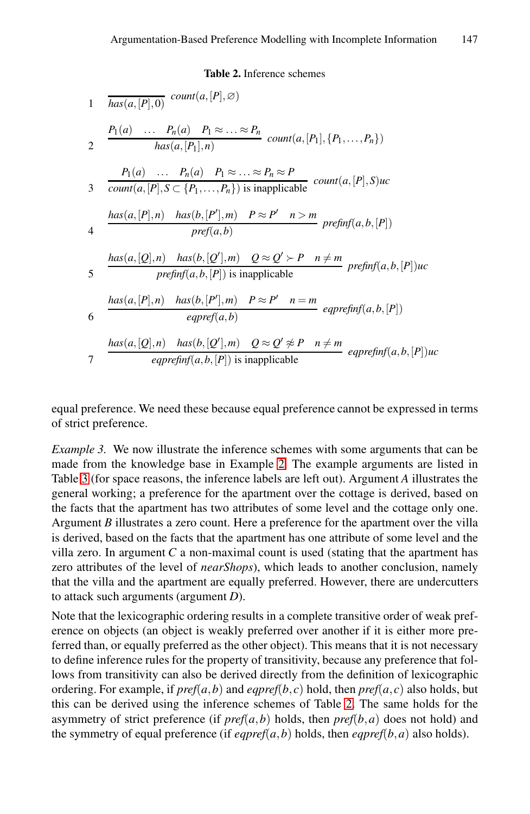<span id="page-6-0"></span>**Table 2.** Inference schemes

1 
$$
has(a, [P], 0)
$$
 count $(a, [P], \emptyset)$   
\n2  $\frac{P_1(a) \dots P_n(a) \quad P_1 \approx \dots \approx P_n}{has(a, [P_1], n)}$  count $(a, [P_1], \{P_1, \dots, P_n\})}$   
\n3  $\frac{P_1(a) \dots P_n(a) \quad P_1 \approx \dots \approx P_n \approx P}{count(a, [P], S)uc}$  count $(a, [P], S)uc$   
\n4  $\frac{has(a, [P], n) \quad has(b, [P'], m) \quad P \approx P' \quad n > m}{pref(a, b)}$  prefix $(a, b, [P])$   
\n5  $\frac{has(a, [Q], n) \quad has(b, [Q'], m) \quad Q \approx Q' \succ P \quad n \neq m}{prefinf(a, b, [P])uc}$   
\n6  $\frac{has(a, [P], n) \quad has(b, [P'], m) \quad P \approx P' \quad n = m}{eaprefinf(a, b, [P])}$   
\n7  $\frac{has(a, [Q], n) \quad has(b, [Q'], m) \quad Q \approx Q' \not\approx P \quad n \neq m}{eaprefinf(a, b, [P])uc}$   
\n8  $\frac{has(a, [Q], n) \quad has(b, [Q'], m) \quad Q \approx Q' \not\approx P \quad n \neq m}{eaprefinf(a, b, [P])uc}$ 

equal preference. We need these because equal preference cannot be expressed in terms of strict preference.

*Example 3.* We now illustrate the inference schemes with some arguments that can be made from the knowledge base in Example 2. The example arguments are listed in Table 3 (for space reasons, the inference labels are left out). Argument *A* illustrates the general working; a preference for the apartment over the cottage is derived, based on the facts that the apartment has two attributes of some level and the cottage only one. Argument *B* illustrates a zero count. Here a preference for the apartment over the villa is derived, based on the facts that the apartment has one attribute of some level and the villa zero. In argument  $C$  a non-maximal count is used (stating that the apartment has zero attributes of the level of *nearShops*), which leads to another conclusion, namely that the villa and the apartment are eq[ua](#page-6-0)lly preferred. However, there are undercutters to attack such arguments (argument *D*).

Note that the lexicographic ordering results in a complete transitive order of weak preference on objects (an object is weakly preferred over another if it is either more preferred than, or equally preferred as the other object). This means that it is not necessary to define inference rules for the property of transitivity, because any preference that follows from transitivity can also be derived directly from the definition of lexicographic ordering. For example, if  $pref(a,b)$  and  $eqpref(b,c)$  hold, then  $pref(a,c)$  also holds, but this can be derived using the inference schemes of Table 2. The same holds for the asymmetry of strict preference (if  $pref(a,b)$  holds, then  $pref(b,a)$  does not hold) and the symmetry of equal preference (if  $eapref(a, b)$  holds, then  $eapref(b, a)$  also holds).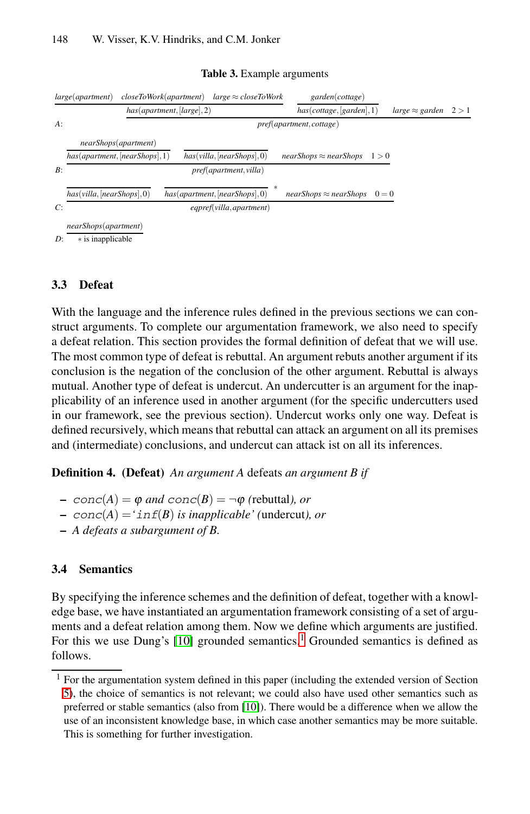<span id="page-7-0"></span>

|                                     | closeToWork(apartment)<br>large (apartment) | $large \approx closeToWork$    | garden(cottage)                                 |                                |  |  |  |
|-------------------------------------|---------------------------------------------|--------------------------------|-------------------------------------------------|--------------------------------|--|--|--|
|                                     | has(apartment, [large], 2)                  |                                | has(cottage, [garden], 1)                       | large $\approx$ garden $2 > 1$ |  |  |  |
| $pref(apartment, cottage)$<br>$A$ : |                                             |                                |                                                 |                                |  |  |  |
|                                     | nearShops(apartment)                        |                                |                                                 |                                |  |  |  |
|                                     | has(apartment, [nearShops], 1)              | has(villa, [nearShops], 0)     | $near\mathit{Shops} \approx near\mathit{Shops}$ | 1 > 0                          |  |  |  |
| $B$ :                               |                                             | pref(apartment, villa)         |                                                 |                                |  |  |  |
|                                     | has(villa, [nearShops], 0)                  | has(apartment, [nearShops], 0) | $near\mathit{Shops} \approx near\mathit{Shops}$ | $0 = 0$                        |  |  |  |
| C:                                  |                                             | eqpref(villa, apartment)       |                                                 |                                |  |  |  |
|                                     | nearShops(apartment)                        |                                |                                                 |                                |  |  |  |
| D:                                  | * is inapplicable                           |                                |                                                 |                                |  |  |  |

#### **Table 3.** Example arguments

### **3.3 Defeat**

With the language and the inference rules defined in the previous sections we can construct arguments. To complete our argumentation framework, we also need to specify a defeat relation. This section provides the formal definition of defeat that we will use. The most common type of defeat is rebuttal. An argument rebuts another argument if its conclusion is the negation of the conclusion of the other argument. Rebuttal is always mutual. Another type of defeat is undercut. An undercutter is an argument for the inapplicability of an inference used in another argument (for the specific undercutters used in our framework, see the previous section). Undercut works only one way. Defeat is defined recursively, which means that rebuttal can attack an argument on all its premises and (intermediate) conclusions, and undercut can attack ist on all its inferences.

**Definition 4. (Defeat)** *An argument A* defeats *an argument B if*

- $P = \text{conc}(A) = \varphi$  *and*  $\text{conc}(B) = \neg \varphi$  *(rebuttal), or*
- $-$  conc(A) = ' $inf(B)$  *is inapplicable'* (undercut), *or*
- **–** *[A](#page-16-11) [de](#page-16-11)feats a subargument [o](#page-7-1)f B.*

### <span id="page-7-1"></span>**3.4 Semantics**

By specifying the [infe](#page-16-11)rence schemes and the definition of defeat, together with a knowledge base, we have instantiated an argumentation framework consisting of a set of arguments and a defeat relation among them. Now we define which arguments are justified. For this we use Dung's  $[10]$  grounded semantics.<sup>1</sup> Grounded semantics is defined as follows.

<sup>&</sup>lt;sup>1</sup> For the argumentation system defined in this paper (including the extended version of Section 5), the choice of semantics is not relevant; we could also have used other semantics such as preferred or stable semantics (also from [10]). There would be a difference when we allow the use of an inconsistent knowledge base, in which case another semantics may be more suitable. This is something for further investigation.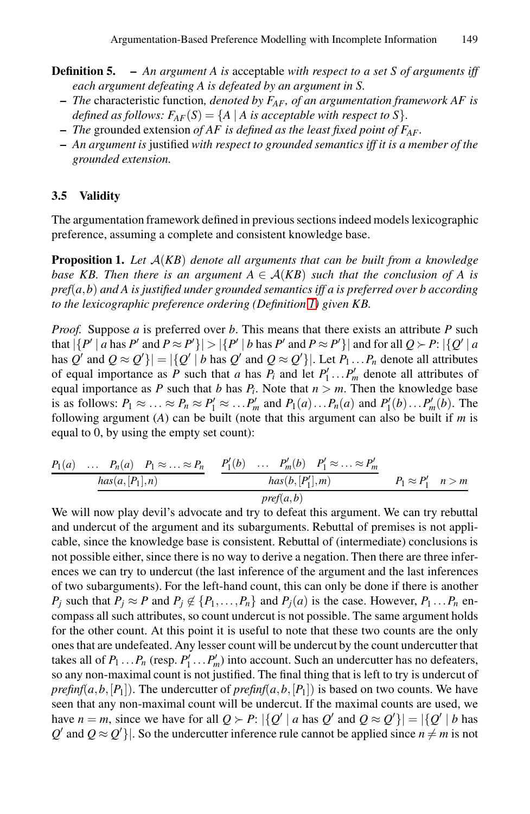- **Definition 5. –** *An argument A is* acceptable *with respect to a set S of arguments iff each argument defeating A is defeated by an argument in S.*
	- **–** *The* characteristic function*, denoted by FAF, of an argumentation framework AF is defined as follows:*  $F_{AF}(S) = \{A \mid A \text{ is acceptable with respect to } S\}.$
	- **–** *The* grounded extension *of AF is defined as the least fixed point of FAF.*
	- **–** *An argument is* justified *with respect to grounded semantics iff it is a member of the grounded extension.*

### **3.5 Validity**

The argumentation framework defined in previous sections indeed models lexicographic preference, assuming a complete and consistent knowledge base.

**Proposition 1.** *Let* A(*KB*) *denote all arguments that can be built from a knowledge base KB. Then there is an argument*  $A \in \mathcal{A}(KB)$  *such that the conclusion of* A *is pref*(*a,b*) *and A is justified under grounded semantics iff a is preferred over b according to the lexicographic preference ordering (Definition 1) given KB.*

*Proof.* Suppose *a* is preferred over *b*. This means that there exists an attribute *P* such that  $|\{P' \mid a \text{ has } P' \text{ and } P \approx P'\}| > |\{P' \mid b \text{ has } P' \text{ and } P \approx P'\}|$  and for all  $Q \succ P: |\{Q' \mid a \text{ has } P' \text{ and } P \approx P'\}|$ has  $Q'$  and  $Q \approx Q'$ } $| = |\{Q' | b \text{ has } Q' \text{ and } Q \approx Q'\}|$ . Let  $P_1 \dots P_n$  denote all attributes of equal importance as *P* such that *a* has  $P_i$  and let  $P'_1 \ldots P'_m$  denote all attributes of equal importance as *P* such that *b* has  $P_i$ . Note that  $n > m$ . Then the knowledge base is as follows:  $P_1 \approx \ldots \approx P_n \approx P'_1 \approx \ldots P'_m$  and  $P_1(a) \ldots P_n(a)$  and  $P'_1(b) \ldots P'_m(b)$ . The following argument (*A*) can be built (note that this argument can also be built if *m* is equal to 0, by using the empty set count):

$$
\frac{P_1(a) \dots P_n(a) \quad P_1 \approx \dots \approx P_n}{\text{has}(a,[P_1],n)} \quad \frac{P'_1(b) \quad \dots \quad P'_m(b) \quad P'_1 \approx \dots \approx P'_m}{\text{has}(b,[P'_1],m)} \quad P_1 \approx P'_1 \quad n > m
$$
\n
$$
\frac{\text{has}(a,[P_1],n)}{\text{pref}(a,b)}
$$

We will now play devil's advocate and try to defeat this argument. We can try rebuttal and undercut of the argument and its subarguments. Rebuttal of premises is not applicable, since the knowledge base is consistent. Rebuttal of (intermediate) conclusions is not possible either, since there is no way to derive a negation. Then there are three inferences we can try to undercut (the last inference of the argument and the last inferences of two subarguments). For the left-hand count, this can only be done if there is another *P<sub>j</sub>* such that  $P_j \approx P$  and  $P_j \notin \{P_1, \ldots, P_n\}$  and  $P_j(a)$  is the case. However,  $P_1 \ldots P_n$  encompass all such attributes, so count undercut is not possible. The same argument holds for the other count. At this point it is useful to note that these two counts are the only ones that are undefeated. Any lesser count will be undercut by the count undercutter that takes all of  $P_1 \dots P_n$  (resp.  $P'_1 \dots P'_m$ ) into account. Such an undercutter has no defeaters, so any non-maximal count is not justified. The final thing that is left to try is undercut of *prefinf*( $a$ , $b$ , $[P_1]$ ). The undercutter of *prefinf*( $a$ , $b$ , $[P_1]$ ) is based on two counts. We have seen that any non-maximal count will be undercut. If the maximal counts are used, we have *n* = *m*, since we have for all  $Q \succ P$ :  $|\{Q' | a \text{ has } Q' \text{ and } Q \approx Q'\}| = |\{Q' | b \text{ has } Q' \text{ has } Q' \text{ has } Q' \text{ has } Q' \text{ has } Q' \text{ has } Q' \text{ has } Q' \text{ has } Q' \text{ has } Q' \text{ has } Q' \text{ has } Q' \text{ has } Q' \text{ has } Q' \text{ has } Q' \text{ has } Q' \text{ has } Q' \text{ has } Q' \text{ has } Q' \text{ has } Q' \text{ has } Q' \text{$  $Q'$  and  $Q \approx Q'$ }. So the undercutter inference rule cannot be applied since  $n \neq m$  is not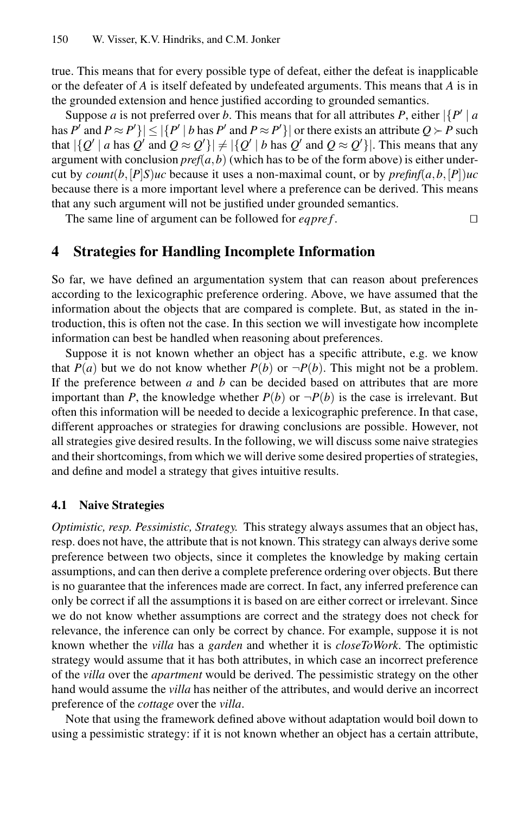true. This means that for every possible type of defeat, either the defeat is inapplicable or the defeater of *A* is itself defeated by undefeated arguments. This means that *A* is in the grounded extension and hence justified according to grounded semantics.

Suppose *a* is not preferred over *b*. This means that for all attributes *P*, either  $|{P' | a}$ has *P'* and  $P \approx P'$ }  $\leq |\{P' | b \text{ has } P' \text{ and } P \approx P' \}|$  or there exists an attribute  $Q \succ P$  such that  $|\{Q' \mid a \text{ has } Q' \text{ and } Q \approx Q'\}| \neq |\{Q' \mid b \text{ has } Q' \text{ and } Q \approx Q'\}|$ . This means that any argument with conclusion  $pref(a,b)$  (which has to be of the form above) is either undercut by *count*( $b$ *,*[ $P$ ]*S*)*uc* because it uses a non-maximal count, or by *prefinf*( $a$ *,* $b$ *,*[ $P$ ])*uc* because there is a more important level where a preference can be derived. This means that any such argument will not be justified under grounded semantics.

The same line of argument can be followed for *eqpref*.

### <span id="page-9-0"></span>**4 Strategies for Handling Incomplete Information**

So far, we have defined an argumentation system that can reason about preferences according to the lexicographic preference ordering. Above, we have assumed that the information about the objects that are compared is complete. But, as stated in the introduction, this is often not the case. In this section we will investigate how incomplete information can best be handled when reasoning about preferences.

Suppose it is not known whether an object has a specific attribute, e.g. we know that *P(a)* but we do not know whether *P(b)* or  $\neg P(b)$ . This might not be a problem. If the preference between *a* and *b* can be decided based on attributes that are more important than *P*, the knowledge whether  $P(b)$  or  $\neg P(b)$  is the case is irrelevant. But often this information will be needed to decide a lexicographic preference. In that case, different approaches or strategies for drawing conclusions are possible. However, not all strategies give desired results. In the following, we will discuss some naive strategies and their shortcomings, from which we will derive some desired properties of strategies, and define and model a strategy that gives intuitive results.

#### **4.1 Naive Strategies**

*Optimistic, resp. Pessimistic, Strategy.* This strategy always assumes that an object has, resp. does not have, the attribute that is not known. This strategy can always derive some preference between two objects, since it completes the knowledge by making certain assumptions, and can then derive a complete preference ordering over objects. But there is no guarantee that the inferences made are correct. In fact, any inferred preference can only be correct if all the assumptions it is based on are either correct or irrelevant. Since we do not know whether assumptions are correct and the strategy does not check for relevance, the inference can only be correct by chance. For example, suppose it is not known whether the *villa* has a *garden* and whether it is *closeToWork*. The optimistic strategy would assume that it has both attributes, in which case an incorrect preference of the *villa* over the *apartment* would be derived. The pessimistic strategy on the other hand would assume the *villa* has neither of the attributes, and would derive an incorrect preference of the *cottage* over the *villa*.

Note that using the framework defined above without adaptation would boil down to using a pessimistic strategy: if it is not known whether an object has a certain attribute,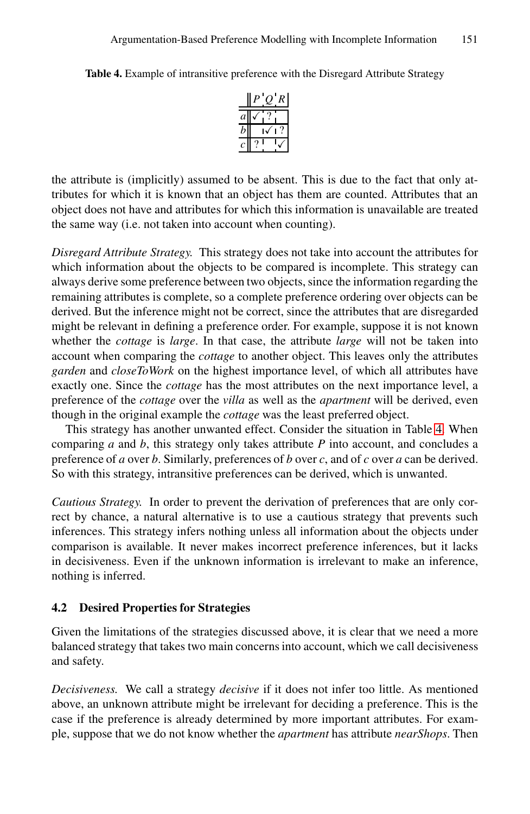<span id="page-10-0"></span>**Table 4.** Example of intransitive preference with the Disregard Attribute Strategy



the attribute is (implicitly) assumed to be absent. This is due to the fact that only attributes for which it is known that an object has them are counted. Attributes that an object does not have and attributes for which this information is unavailable are treated the same way (i.e. not taken into account when counting).

*Disregard Attribute Strategy.* This strategy does not take into account the attributes for which information about the objects to be compared is incomplete. This strategy can always derive some preference between two objects, since the information regarding the remaining attributes is complete, so a complete preference ordering over objects can be derived. But the inference might not be correct, since the [at](#page-10-0)tributes that are disregarded might be relevant in defining a preference order. For example, suppose it is not known whether the *cottage* is *large*. In that case, the attribute *large* will not be taken into account when comparing the *cottage* to another object. This leaves only the attributes *garden* and *closeToWork* on the highest importance level, of which all attributes have exactly one. Since the *cottage* has the most attributes on the next importance level, a preference of the *cottage* over the *villa* as well as the *apartment* will be derived, even though in the original example the *cottage* was the least preferred object.

This strategy has another unwanted effect. Consider the situation in Table 4. When comparing *a* and *b*, this strategy only takes attribute *P* into account, and concludes a preference of *a* over *b*. Similarly, preferences of *b* over *c*, and of *c* over *a* can be derived. So with this strategy, intransitive preferences can be derived, which is unwanted.

*Cautious Strategy.* In order to prevent the derivation of preferences that are only correct by chance, a natural alternative is to use a cautious strategy that prevents such inferences. This strategy infers nothing unless all information about the objects under comparison is available. It never makes incorrect preference inferences, but it lacks in decisiveness. Even if the unknown information is irrelevant to make an inference, nothing is inferred.

### **4.2 Desired Properties for Strategies**

Given the limitations of the strategies discussed above, it is clear that we need a more balanced strategy that takes two main concerns into account, which we call decisiveness and safety.

*Decisiveness.* We call a strategy *decisive* if it does not infer too little. As mentioned above, an unknown attribute might be irrelevant for deciding a preference. This is the case if the preference is already determined by more important attributes. For example, suppose that we do not know whether the *apartment* has attribute *nearShops*. Then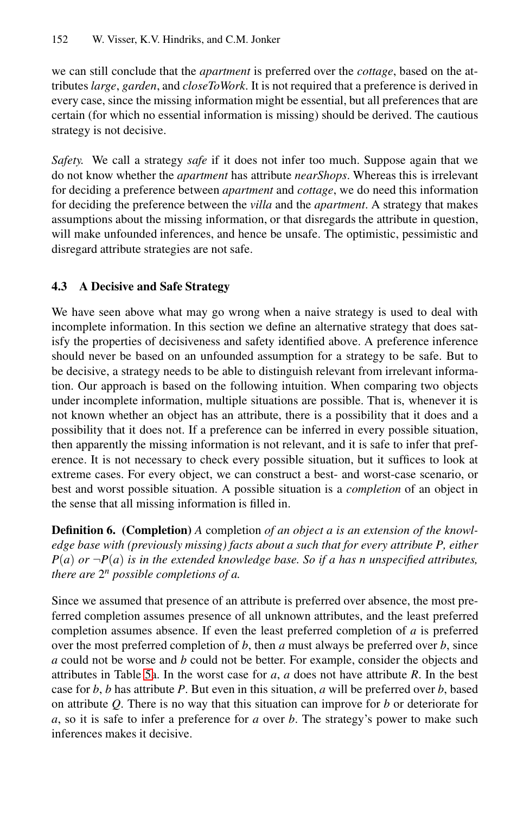we can still conclude that the *apartment* is preferred over the *cottage*, based on the attributes *large*, *garden*, and *closeToWork*. It is not required that a preference is derived in every case, since the missing information might be essential, but all preferences that are certain (for which no essential information is missing) should be derived. The cautious strategy is not decisive.

<span id="page-11-0"></span>*Safety.* We call a strategy *safe* if it does not infer too much. Suppose again that we do not know whether the *apartment* has attribute *nearShops*. Whereas this is irrelevant for deciding a preference between *apartment* and *cottage*, we do need this information for deciding the preference between the *villa* and the *apartment*. A strategy that makes assumptions about the missing information, or that disregards the attribute in question, will make unfounded inferences, and hence be unsafe. The optimistic, pessimistic and disregard attribute strategies are not safe.

### **4.3 A Decisive and Safe Strategy**

We have seen above what may go wrong when a naive strategy is used to deal with incomplete information. In this section we define an alternative strategy that does satisfy the properties of decisiveness and safety identified above. A preference inference should never be based on an unfounded assumption for a strategy to be safe. But to be decisive, a strategy needs to be able to distinguish relevant from irrelevant information. Our approach is based on the following intuition. When comparing two objects under incomplete information, multiple situations are possible. That is, whenever it is not known whether an object has an attribute, there is a possibility that it does and a possibility that it does not. If a preference can be inferred in every possible situation, then apparently the missing information is not relevant, and it is safe to infer that preference. It is not necessary to check every possible situation, but it suffices to look at extreme cases. For every object, we can construct a best- and worst-case scenario, or best and worst possible situation. A possible situation is a *completion* of an object in the sense that all missing information is filled in.

**Definition 6. (Completion)** *A* completion *of an object a is an extension of the knowledge base with (previously missing) facts about a such that for every attribute P, either*  $P(a)$  *or*  $\neg P(a)$  *is in the extended knowledge base. So if a has n unspecified attributes, there are* 2*<sup>n</sup> possible completions of a.*

Since we assumed that presence of an attribute is preferred over absence, the most preferred completion assumes presence of all unknown attributes, and the least preferred completion assumes absence. If even the least preferred completion of *a* is preferred over the most preferred completion of *b*, then *a* must always be preferred over *b*, since *a* could not be worse and *b* could not be better. For example, consider the objects and attributes in Table 5a. In the worst case for *a*, *a* does not have attribute *R*. In the best case for *b*, *b* has attribute *P*. But even in this situation, *a* will be preferred over *b*, based on attribute *Q*. There is no way that this situation can improve for *b* or deteriorate for *a*, so it is safe to infer a preference for *a* over *b*. The strategy's power to make such inferences makes it decisive.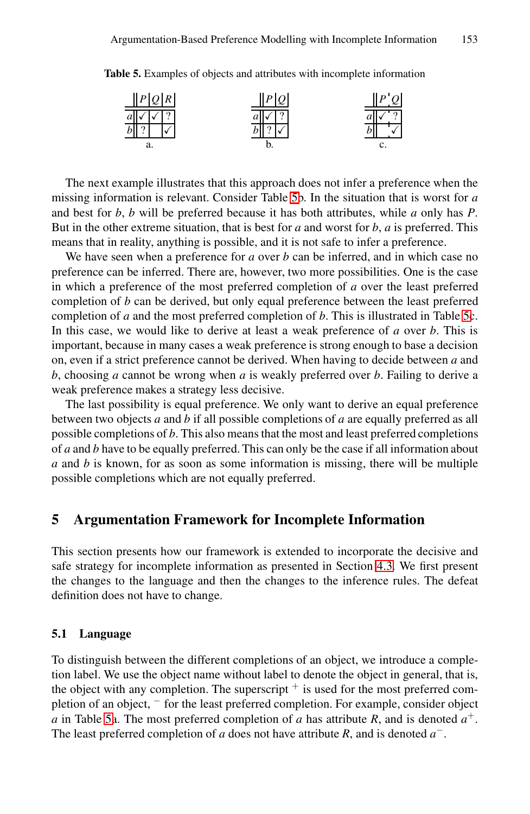<span id="page-12-1"></span>**Table 5.** Examples [of](#page-12-1) objects and attributes with incomplete information



The next example illustrates that this approach does not infer a preference when the missing information is relevant. Consider Table 5b. In the situ[at](#page-12-1)ion that is worst for *a* and best for *b*, *b* will be preferred because it has both attributes, while *a* only has *P*. But in the other extreme situation, that is best for *a* and worst for *b*, *a* is preferred. This means that in reality, anything is possible, and it is not safe to infer a preference.

We have seen when a preference for *a* over *b* can be inferred, and in which case no preference can be inferred. There are, however, two more possibilities. One is the case in which a preference of the most preferred completion of *a* over the least preferred completion of *b* can be derived, but only equal preference between the least preferred completion of *a* and the most preferred completion of *b*. This is illustrated in Table 5c. In this case, we would like to derive at least a weak preference of *a* over *b*. This is important, because in many cases a weak preference is strong enough to base a decision on, even if a strict preference cannot be derived. When having to decide between *a* and *b*, choosing *a* cannot be wrong when *a* is weakly preferred over *b*. Failing to derive a weak preference makes a strategy less decisive.

<span id="page-12-0"></span>The last possibility is equal preference. We only want to derive an equal preference between two objects *a* and *b* if all possible completions of *a* are equally preferred as all possible completions of *b*. This also means that the most and least preferred completions of *a* and *b* have to be equally preferred. This c[an o](#page-11-0)nly be the case if all information about *a* and *b* is known, for as soon as some information is missing, there will be multiple possible completions which are not equally preferred.

### **5 Argumentation Framework for Incomplete Information**

This section presents how our framework is extended to incorporate the decisive and safe strategy for incomplete information as presented in Section 4.3. We first present the changes to the language and then the changes to the inference rules. The defeat definition does not have to change.

### **5.1 Language**

To distinguish between the different completions of an object, we introduce a completion label. We use the object name without label to denote the object in general, that is, the object with any completion. The superscript  $<sup>+</sup>$  is used for the most preferred com-</sup> pletion of an object,  $^-$  for the least preferred completion. For example, consider object *a* in Table 5a. The most preferred completion of *a* has attribute *R*, and is denoted  $a^+$ . The least preferred completion of *a* does not have attribute *R*, and is denoted *a*−.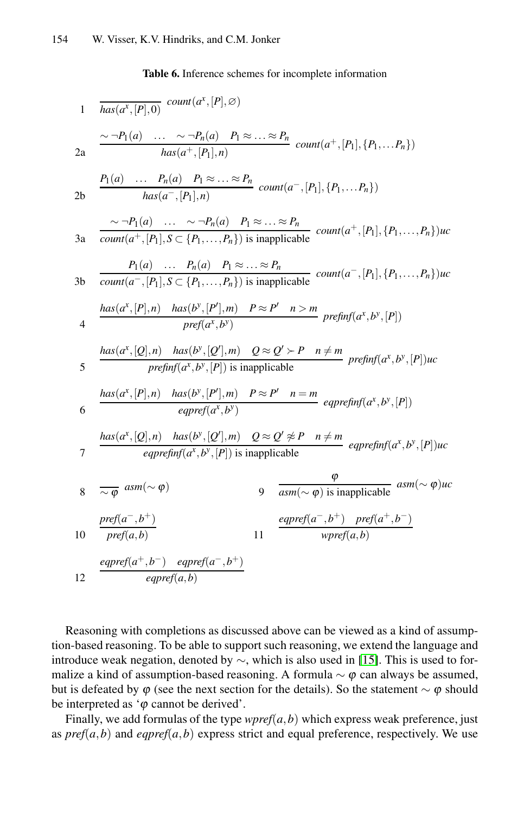<span id="page-13-0"></span>**Table 6.** Inference schemes for incomplete information

1 
$$
has(a^x, [P], 0)
$$
 count  $(a^x, [P], \emptyset)$   
\n2a  $\frac{\sim \neg P_1(a) \cdots \sim \neg P_n(a) \quad P_1 \approx \cdots \approx P_n}{has(a^+, [P_1], n)}$  count  $(a^+, [P_1], \{P_1, \ldots, P_n\})$   
\n2b  $\frac{P_1(a) \cdots P_n(a) \quad P_1 \approx \cdots \approx P_n}{has(a^-, [P_1], n)}$  count  $(a^-, [P_1], \{P_1, \ldots, P_n\})$   
\n3a  $\frac{\sim \neg P_1(a) \cdots \sim \neg P_n(a) \quad P_1 \approx \cdots \approx P_n}{count(a^+, [P_1], S \subset \{P_1, \ldots, P_n\})}$  is inapplicable count  $(a^+, [P_1], \{P_1, \ldots, P_n\})$  uc  
\n3b  $\frac{P_1(a) \cdots P_n(a) \quad P_1 \approx \cdots \approx P_n}{count(a^-, [P_1], S \subset \{P_1, \ldots, P_n\})}$  is inapplicable count  $(a^-, [P_1], \{P_1, \ldots, P_n\})$  uc  
\n4a  $\frac{has(a^x, [P], n) \quad has(b^y, [P'], m) \quad P \approx P' \quad n > m}{prefinf(a^x, b^y, [P])}$   
\n5  $\frac{has(a^x, [Q], n) \quad has(b^y, [Q'], m) \quad Q \approx Q' \succ P \quad n \neq m}{prefinf(a^x, b^y, [P])}$   
\n6  $\frac{has(a^x, [Q], n) \quad has(b^y, [P'], m) \quad P \approx P' \quad n = m}{eaprefinf(a^x, b^y, [P])}$   
\n7  $\frac{has(a^x, [Q], n) \quad has(b^y, [Q'], m) \quad Q \approx Q' \not\approx P \quad n \neq m}{eaprefinf(a^x, b^y, [P])}$   
\n8  $\frac{has(a^x, [Q], n) \quad has(b^y, [Q'], m) \quad Q \approx Q' \not\approx P \quad n \neq m}{aamp(\sim \varphi) \text{ is inapplicable}} \quad asm(\sim \varphi)uc$   
\n9  $\frac{q}{asm(\sim \varphi) \text$ 

Reasoning with completions as discussed above can be viewed as a kind of assumption-based reasoning. To be able to support such reasoning, we extend the language and introduce weak negation, denoted by ∼, which is also used in [15]. This is used to formalize a kind of assumption-based reasoning. A formula  $\sim \varphi$  can always be assumed, but is defeated by  $\varphi$  (see the next section for the details). So the statement  $\sim \varphi$  should be interpreted as  $\varphi$  cannot be derived'.

Finally, we add formulas of the type  $wpref(a,b)$  which express weak preference, just as  $pref(a,b)$  and  $egpref(a,b)$  express strict and equal preference, respectively. We use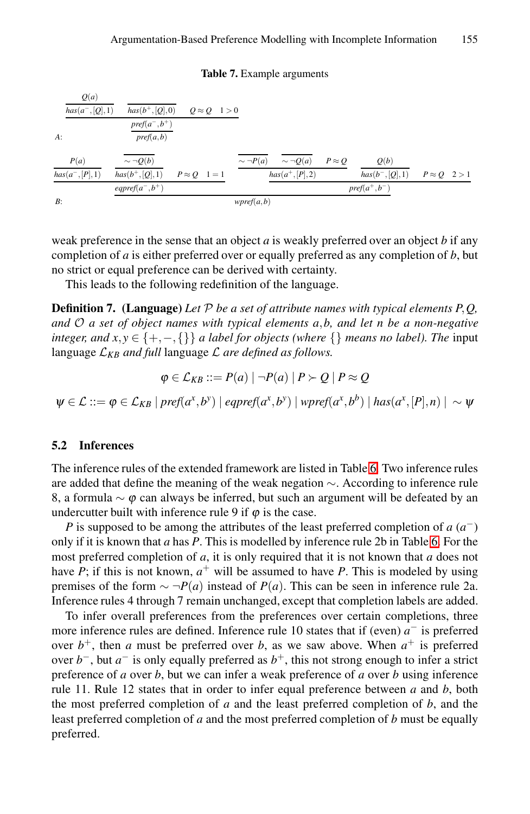

#### **Table 7.** Example arguments

weak preference in the sense that an object *a* is weakly preferred over an object *b* if any completion of *a* is either preferred over or equally preferred as any completion of *b*, but no strict or equal preference can be derived with certainty.

This leads to the following redefinition of the language.

**Definition 7.** (Language) Let  $P$  be a set of attribute names with typical elements  $P$ ,  $Q$ , *and* O *a set of object names with typical elements a,b, and let n be a non-negative integer, and*  $x, y \in \{+, -, \{\}\}\$ *a label for objects (where*  $\{\}$  *means no label). The input* language L*KB and full* language L *are defin[ed](#page-13-0) as follows.*

$$
\varphi \in \mathcal{L}_{KB} ::= P(a) | \neg P(a) | P \succ Q | P \approx Q
$$

 $\psi \in \mathcal{L} ::= \varphi \in \mathcal{L}_{KB} | prefix(a^x, b^y) | eapref(a^x, b^y) | wpref(a^x, b^b) | has(a^x, [P], n) | \sim \psi$ 

### **5.2 Inferences**

The inference rules of the extended framework are listed in Table 6. Two inference rules are added that define the meaning of the weak negation ∼. According to inference rule 8, a formula  $\sim \varphi$  can always be inferred, but such an argument will be defeated by an undercutter built with inference rule 9 if  $\varphi$  is the case.

*P* is supposed to be among the attributes of the least preferred completion of *a* (*a*<sup>−</sup>) only if it is known that *a* has *P*. This is modelled by inference rule 2b in Table 6. For the most preferred completion of *a*, it is only required that it is not known that *a* does not have *P*; if this is not known,  $a^+$  will be assumed to have *P*. This is modeled by using premises of the form  $\sim \neg P(a)$  instead of *P*(*a*). This can be seen in inference rule 2a. Inference rules 4 through 7 remain unchanged, except that completion labels are added.

To infer overall preferences from the preferences over certain completions, three more inference rules are defined. Inference rule 10 states that if (even) *a*<sup>−</sup> is preferred over  $b^+$ , then *a* must be preferred over *b*, as we saw above. When  $a^+$  is preferred over *b*<sup>−</sup>, but *a*<sup>−</sup> is only equally preferred as *b*<sup>+</sup>, this not strong enough to infer a strict preference of *a* over *b*, but we can infer a weak preference of *a* over *b* using inference rule 11. Rule 12 states that in order to infer equal preference between *a* and *b*, both the most preferred completion of *a* and the least preferred completion of *b*, and the least preferred completion of *a* and the most preferred completion of *b* must be equally preferred.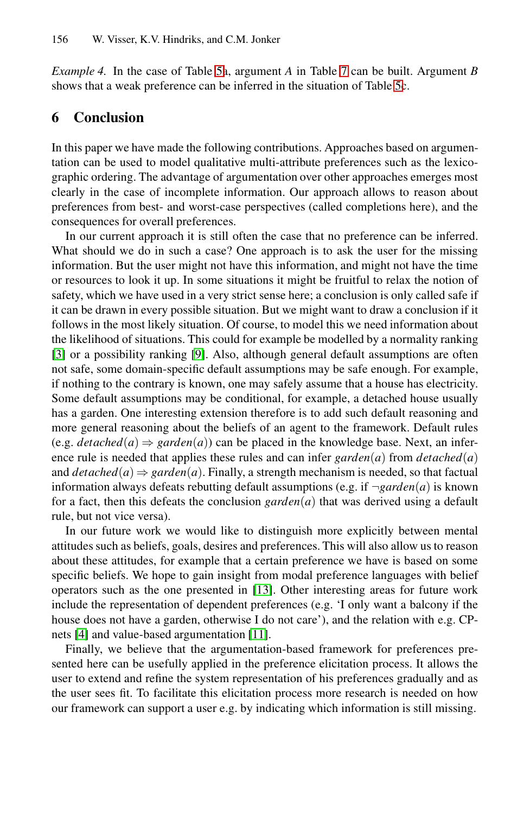<span id="page-15-0"></span>*Example 4.* In the case of Table 5a, argument *A* in Table 7 can be built. Argument *B* shows that a weak preference can be inferred in the situation of Table 5c.

### **6 Conclusion**

In this paper we have made the following contributions. Approaches based on argumentation can be used to model qualitative multi-attribute preferences such as the lexicographic ordering. The advantage of argumentation over other approaches emerges most clearly in the case of incomplete information. Our approach allows to reason about preferences from best- and worst-case perspectives (called completions here), and the consequences for overall preferences.

In o[ur c](#page-16-12)urrent approach it is still often the case that no preference can be inferred. What should we do in such a case? One approach is to ask the user for the missing information. But the user might not have this information, and might not have the time or resources to look it up. In some situations it might be fruitful to relax the notion of safety, which we have used in a very strict sense here; a conclusion is only called safe if it can be drawn in every possible situation. But we might want to draw a conclusion if it follows in the most likely situation. Of course, to model this we need information about the likelihood of situations. This could for example be modelled by a normality ranking [3] or a possibility ranking [9]. Also, although general default assumptions are often not safe, some domain-specific default assumptions may be safe enough. For example, if nothing to the contrary is known, one may safely assume that a house has electricity. Some default assumptions may be conditional, for example, a detached house usually has a garden. One interesting extension therefore is to add such default reasoning and more general reasoning about the beliefs of an agent to the framework. Default rules (e.g. *detached*( $a$ )  $\Rightarrow$  *garden*( $a$ )) can be placed in the knowledge base. Next, an inference rule is needed that applies these rules and can infer *garden*(*a*) from *detached*(*a*) and  $detached(a) \Rightarrow garden(a)$  $detached(a) \Rightarrow garden(a)$  $detached(a) \Rightarrow garden(a)$ . Finally, a strength mechanism is needed, so that factual information always defeats rebutting default assumptions (e.g. if  $\neg garden(a)$  is known for a fact, then this defeats the conclusion *garden*( $a$ ) that was derived using a default rule, but not vice v[ersa](#page-16-13)).

In our future work we would like to distinguish more explicitly between mental attitudes such as beliefs, goals, desires and preferences. This will also allow us to reason about these attitudes, for example that a certain preference we have is based on some specific beliefs. We hope to gain insight from modal preference languages with belief operators such as the one presented in [13]. Other interesting areas for future work include the representation of dependent preferences (e.g. 'I only want a balcony if the house does not have a garden, otherwise I do not care'), and the relation with e.g. CPnets [4] and value-based argumentation [11].

Finally, we believe that the argumentation-based framework for preferences presented here can be usefully applied in the preference elicitation process. It allows the user to extend and refine the system representation of his preferences gradually and as the user sees fit. To facilitate this elicitation process more research is needed on how our framework can support a user e.g. by indicating which information is still missing.